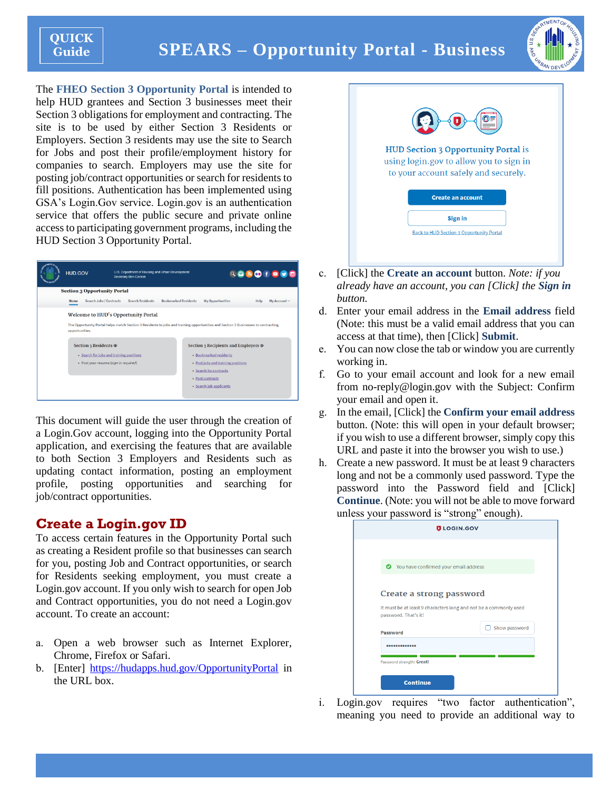# **SPEARS – Opportunity Portal - Business**



The **FHEO Section 3 Opportunity Portal** is intended to help HUD grantees and Section 3 businesses meet their Section 3 obligations for employment and contracting. The site is to be used by either Section 3 Residents or Employers. Section 3 residents may use the site to Search for Jobs and post their profile/employment history for companies to search. Employers may use the site for posting job/contract opportunities or search for residents to fill positions. Authentication has been implemented using GSA's Login.Gov service. Login.gov is an authentication service that offers the public secure and private online access to participating government programs, including the HUD Section 3 Opportunity Portal.



This document will guide the user through the creation of a Login.Gov account, logging into the Opportunity Portal application, and exercising the features that are available to both Section 3 Employers and Residents such as updating contact information, posting an employment profile, posting opportunities and searching for job/contract opportunities.

# **Create a Login.gov ID**

To access certain features in the Opportunity Portal such as creating a Resident profile so that businesses can search for you, posting Job and Contract opportunities, or search for Residents seeking employment, you must create a Login.gov account. If you only wish to search for open Job and Contract opportunities, you do not need a Login.gov account. To create an account:

- a. Open a web browser such as Internet Explorer, Chrome, Firefox or Safari.
- b. [Enter] <https://hudapps.hud.gov/OpportunityPortal> in the URL box.



- c. [Click] the **Create an account** button. *Note: if you already have an account, you can [Click] the Sign in button.*
- d. Enter your email address in the **Email address** field (Note: this must be a valid email address that you can access at that time), then [Click] **Submit**.
- e. You can now close the tab or window you are currently working in.
- f. Go to your email account and look for a new email from no-reply@login.gov with the Subject: Confirm your email and open it.
- g. In the email, [Click] the **Confirm your email address** button. (Note: this will open in your default browser; if you wish to use a different browser, simply copy this URL and paste it into the browser you wish to use.)
- h. Create a new password. It must be at least 9 characters long and not be a commonly used password. Type the password into the Password field and [Click] **Continue**. (Note: you will not be able to move forward unless your password is "strong" enough).

|                 | <b>U</b> LOGIN.GOV                                                                       |               |
|-----------------|------------------------------------------------------------------------------------------|---------------|
|                 |                                                                                          |               |
|                 |                                                                                          |               |
|                 | You have confirmed your email address                                                    |               |
|                 |                                                                                          |               |
|                 | Create a strong password                                                                 |               |
|                 | It must be at least 9 characters long and not be a commonly used<br>password. That's it! |               |
|                 |                                                                                          | Show password |
| <b>Password</b> |                                                                                          |               |
|                 | ,,,,,,,,,,,                                                                              |               |
|                 | Password strength: Great!                                                                |               |
|                 | <b>Continue</b>                                                                          |               |

i. Login.gov requires "two factor authentication", meaning you need to provide an additional way to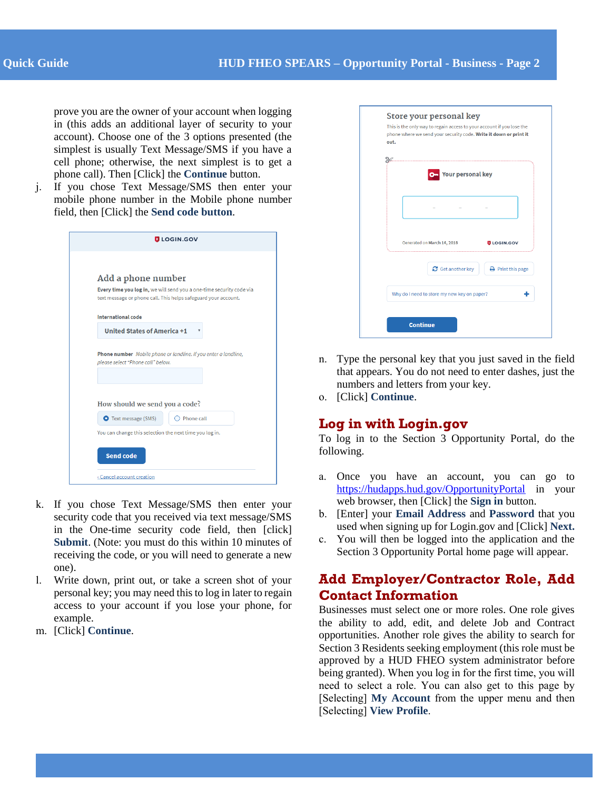prove you are the owner of your account when logging in (this adds an additional layer of security to your account). Choose one of the 3 options presented (the simplest is usually Text Message/SMS if you have a cell phone; otherwise, the next simplest is to get a phone call). Then [Click] the **Continue** button.

j. If you chose Text Message/SMS then enter your mobile phone number in the Mobile phone number field, then [Click] the **Send code button**.

| <b>ULOGIN.GOV</b>                                                                                                                      |  |  |  |  |
|----------------------------------------------------------------------------------------------------------------------------------------|--|--|--|--|
|                                                                                                                                        |  |  |  |  |
| Add a phone number                                                                                                                     |  |  |  |  |
| Every time you log in, we will send you a one-time security code via<br>text message or phone call. This helps safeguard your account. |  |  |  |  |
| <b>International code</b>                                                                                                              |  |  |  |  |
| <b>United States of America +1</b>                                                                                                     |  |  |  |  |
| please select "Phone call" below.                                                                                                      |  |  |  |  |
| How should we send you a code?                                                                                                         |  |  |  |  |
| <b>O</b> Text message (SMS)<br>Phone call                                                                                              |  |  |  |  |
| You can change this selection the next time you log in.                                                                                |  |  |  |  |
| <b>Send code</b>                                                                                                                       |  |  |  |  |
| «Cancel account creation                                                                                                               |  |  |  |  |

- k. If you chose Text Message/SMS then enter your security code that you received via text message/SMS in the One-time security code field, then [click] **Submit**. (Note: you must do this within 10 minutes of receiving the code, or you will need to generate a new one).
- l. Write down, print out, or take a screen shot of your personal key; you may need this to log in later to regain access to your account if you lose your phone, for example.
- m. [Click] **Continue**.

| out. | phone where we send your security code. Write it down or print it |                               |
|------|-------------------------------------------------------------------|-------------------------------|
|      |                                                                   |                               |
|      | .<br><b>Your personal key</b><br>$\sigma$                         |                               |
|      |                                                                   |                               |
|      | Generated on March 14, 2018                                       | <b>ULOGIN.GOV</b>             |
|      | Get another key                                                   | $\rightarrow$ Print this page |
|      | Why do I need to store my new key on paper?                       |                               |

- n. Type the personal key that you just saved in the field that appears. You do not need to enter dashes, just the numbers and letters from your key.
- o. [Click] **Continue**.

### **Log in with Login.gov**

To log in to the Section 3 Opportunity Portal, do the following.

- a. Once you have an account, you can go to <https://hudapps.hud.gov/OpportunityPortal> in your web browser, then [Click] the **Sign in** button.
- b. [Enter] your **Email Address** and **Password** that you used when signing up for Login.gov and [Click] **Next.**
- c. You will then be logged into the application and the Section 3 Opportunity Portal home page will appear.

# **Add Employer/Contractor Role, Add Contact Information**

Businesses must select one or more roles. One role gives the ability to add, edit, and delete Job and Contract opportunities. Another role gives the ability to search for Section 3 Residents seeking employment (this role must be approved by a HUD FHEO system administrator before being granted). When you log in for the first time, you will need to select a role. You can also get to this page by [Selecting] **My Account** from the upper menu and then [Selecting] **View Profile**.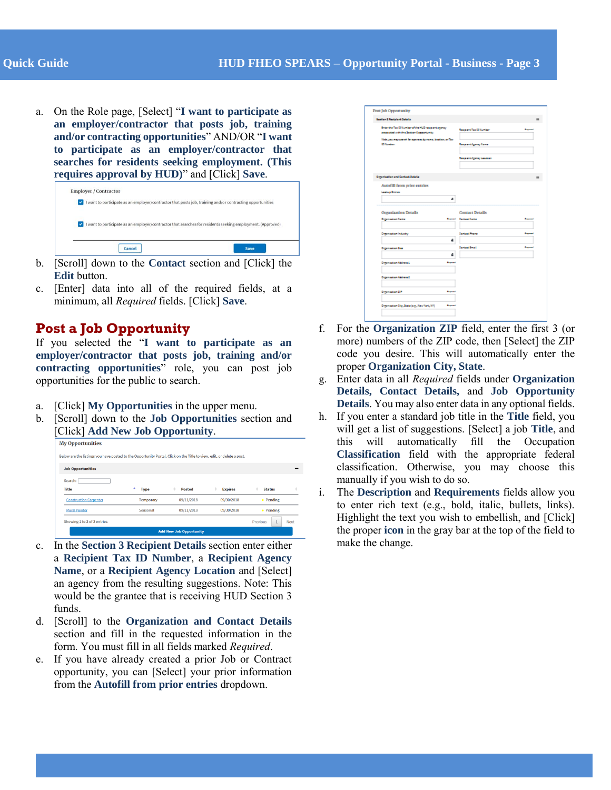a. On the Role page, [Select] "**I want to participate as an employer/contractor that posts job, training and/or contracting opportunities**" AND/OR "**I want to participate as an employer/contractor that searches for residents seeking employment. (This requires approval by HUD)**" and [Click] **Save**.

| <b>CO</b> | <b>Employer / Contractor</b><br>I want to participate as an employer/contractor that posts job, training and/or contracting opportunities |  |
|-----------|-------------------------------------------------------------------------------------------------------------------------------------------|--|
| v.        | I want to participate as an employer/contractor that searches for residents seeking employment. (Approved)                                |  |
|           | Cancel<br>Save                                                                                                                            |  |

- b. [Scroll] down to the **Contact** section and [Click] the **Edit** button.
- c. [Enter] data into all of the required fields, at a minimum, all *Required* fields. [Click] **Save**.

## **Post a Job Opportunity**

If you selected the "**I want to participate as an employer/contractor that posts job, training and/or contracting opportunities**" role, you can post job opportunities for the public to search.

- a. [Click] **My Opportunities** in the upper menu.
- b. [Scroll] down to the **Job Opportunities** section and [Click] **Add New Job Opportunity**.

| Below are the listings you have posted to the Opportunity Portal. Click on the Title to view, edit, or delete a post. |                  |                                |                |               |      |
|-----------------------------------------------------------------------------------------------------------------------|------------------|--------------------------------|----------------|---------------|------|
|                                                                                                                       |                  |                                |                |               |      |
| <b>Job Opportunities</b>                                                                                              |                  |                                |                |               |      |
| Search:                                                                                                               |                  |                                |                |               |      |
| <b>Title</b>                                                                                                          | ٠<br><b>Type</b> | <b>Posted</b>                  | <b>Expires</b> | <b>Status</b> |      |
| <b>Construction Carpenter</b>                                                                                         | Temporary        | 09/11/2018                     | 09/30/2018     | • Pending     |      |
| <b>Mural Painter</b>                                                                                                  | Seasonal         | 09/11/2018                     | 09/30/2018     | • Pending     |      |
| Showing 1 to 2 of 2 entries                                                                                           |                  |                                |                | Previous      | Next |
|                                                                                                                       |                  | <b>Add New Job Opportunity</b> |                |               |      |

- c. In the **Section 3 Recipient Details** section enter either a **Recipient Tax ID Number**, a **Recipient Agency Name**, or a **Recipient Agency Location** and [Select] an agency from the resulting suggestions. Note: This would be the grantee that is receiving HUD Section 3 funds.
- d. [Scroll] to the **Organization and Contact Details** section and fill in the requested information in the form. You must fill in all fields marked *Required*.
- e. If you have already created a prior Job or Contract opportunity, you can [Select] your prior information from the **Autofill from prior entries** dropdown.

| <b>Seekler &amp; Realplant Datella</b>                                                      |                |                                |                               |
|---------------------------------------------------------------------------------------------|----------------|--------------------------------|-------------------------------|
| Interior Tax Diffusion of the NGD respectives may<br>essential criticis Series Copperiunty. |                | <b>Research Tax 10 Number</b>  | <b>Support</b>                |
| links proving around for agreems by none, involve, at The<br><b>Citation</b>                |                | <b>Research Agency Same</b>    |                               |
|                                                                                             |                |                                |                               |
|                                                                                             |                | <b>Research Agency Leaster</b> |                               |
| <b>Organisation and Centest Datalia</b>                                                     |                |                                |                               |
| Autofill from price entries:                                                                |                |                                |                               |
| Leslies Drames                                                                              |                |                                |                               |
|                                                                                             | ۵              |                                |                               |
| Organization Details                                                                        |                | <b>Contact Details</b>         |                               |
| <b>Department Same</b>                                                                      | <b>Bearing</b> | Carried Same                   | <b><i><u>Property</u></i></b> |
| Department in Eastley                                                                       |                | Cantool Phane                  | سيدة                          |
|                                                                                             | ۵              |                                |                               |
|                                                                                             |                |                                |                               |
| <b>Digensation Sea</b>                                                                      |                | Cartout Email                  | <b>Baymed</b>                 |
|                                                                                             | ۵              |                                |                               |
| Depression Material                                                                         | <b>Baymen</b>  |                                |                               |
| Depression Material                                                                         |                |                                |                               |
| Department on DP                                                                            |                |                                |                               |

- f. For the **Organization ZIP** field, enter the first 3 (or more) numbers of the ZIP code, then [Select] the ZIP code you desire. This will automatically enter the proper **Organization City, State**.
- g. Enter data in all *Required* fields under **Organization Details, Contact Details,** and **Job Opportunity Details**. You may also enter data in any optional fields.
- h. If you enter a standard job title in the **Title** field, you will get a list of suggestions. [Select] a job **Title**, and this will automatically fill the Occupation **Classification** field with the appropriate federal classification. Otherwise, you may choose this manually if you wish to do so.
- i. The **Description** and **Requirements** fields allow you to enter rich text (e.g., bold, italic, bullets, links). Highlight the text you wish to embellish, and [Click] the proper **icon** in the gray bar at the top of the field to make the change.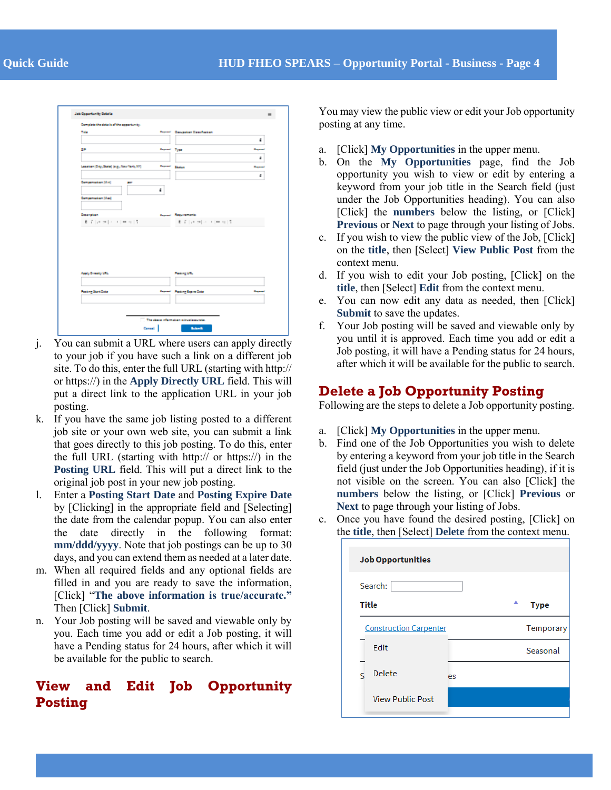| Complete the detector filter appartunity. |                      |                                    |                 |
|-------------------------------------------|----------------------|------------------------------------|-----------------|
| <b>Tale</b>                               |                      | <b>Remot Cascastan Dassilastan</b> |                 |
|                                           |                      |                                    | ۵               |
| 28                                        | <b>Property Type</b> |                                    | <b>Baggaine</b> |
|                                           |                      |                                    | ٠               |
| Leaster (24p, Bate) (e.g., New York, 201) |                      | <b>Beautiful Station</b>           | <b>Barnet</b>   |
|                                           |                      |                                    | ٠               |
| Compensation [Min]<br>887                 | ٠                    |                                    |                 |
| Compensation (Mai)                        |                      |                                    |                 |
|                                           |                      |                                    |                 |
| <b>Cosangham</b>                          |                      | <b>Supra C. Requirements</b>       |                 |
| 8. 7. Januar 1 and 1 and 1 5. In          |                      | 8. 7. [ at at ] at 1 ( m at ] 5.   |                 |
|                                           |                      |                                    |                 |
|                                           |                      |                                    |                 |
|                                           |                      |                                    |                 |
|                                           |                      |                                    |                 |
|                                           |                      |                                    |                 |
| Apply Dreamy UNL                          |                      | Pasking LTL                        |                 |
|                                           |                      |                                    |                 |
| <b>Pasting Start Date</b>                 |                      | <b>Report Financial Date:</b>      | <b>Barnet</b>   |
|                                           |                      |                                    |                 |
|                                           |                      |                                    |                 |

- j. You can submit a URL where users can apply directly to your job if you have such a link on a different job site. To do this, enter the full URL (starting with http:// or https://) in the **Apply Directly URL** field. This will put a direct link to the application URL in your job posting.
- k. If you have the same job listing posted to a different job site or your own web site, you can submit a link that goes directly to this job posting. To do this, enter the full URL (starting with http:// or https://) in the **Posting URL** field. This will put a direct link to the original job post in your new job posting.
- l. Enter a **Posting Start Date** and **Posting Expire Date** by [Clicking] in the appropriate field and [Selecting] the date from the calendar popup. You can also enter the date directly in the following format: **mm/ddd/yyyy**. Note that job postings can be up to 30 days, and you can extend them as needed at a later date.
- m. When all required fields and any optional fields are filled in and you are ready to save the information, [Click] "**The above information is true/accurate."** Then [Click] **Submit**.
- n. Your Job posting will be saved and viewable only by you. Each time you add or edit a Job posting, it will have a Pending status for 24 hours, after which it will be available for the public to search.

# **View and Edit Job Opportunity Posting**

You may view the public view or edit your Job opportunity posting at any time.

- a. [Click] **My Opportunities** in the upper menu.
- b. On the **My Opportunities** page, find the Job opportunity you wish to view or edit by entering a keyword from your job title in the Search field (just under the Job Opportunities heading). You can also [Click] the **numbers** below the listing, or [Click] **Previous** or **Next** to page through your listing of Jobs.
- c. If you wish to view the public view of the Job, [Click] on the **title**, then [Select] **View Public Post** from the context menu.
- d. If you wish to edit your Job posting, [Click] on the **title**, then [Select] **Edit** from the context menu.
- e. You can now edit any data as needed, then [Click] **Submit** to save the updates.
- f. Your Job posting will be saved and viewable only by you until it is approved. Each time you add or edit a Job posting, it will have a Pending status for 24 hours, after which it will be available for the public to search.

# **Delete a Job Opportunity Posting**

Following are the steps to delete a Job opportunity posting.

- a. [Click] **My Opportunities** in the upper menu.
- b. Find one of the Job Opportunities you wish to delete by entering a keyword from your job title in the Search field (just under the Job Opportunities heading), if it is not visible on the screen. You can also [Click] the **numbers** below the listing, or [Click] **Previous** or **Next** to page through your listing of Jobs.
- c. Once you have found the desired posting, [Click] on the **title**, then [Select] **Delete** from the context menu.

| <b>Job Opportunities</b>                        |             |
|-------------------------------------------------|-------------|
| Search:                                         |             |
| <b>Title</b>                                    | <b>Type</b> |
| <b>Construction Carpenter</b>                   | Temporary   |
| Edit                                            | Seasonal    |
| <b>Delete</b><br>$\overline{\phantom{0}}$<br>es |             |
| <b>View Public Post</b>                         |             |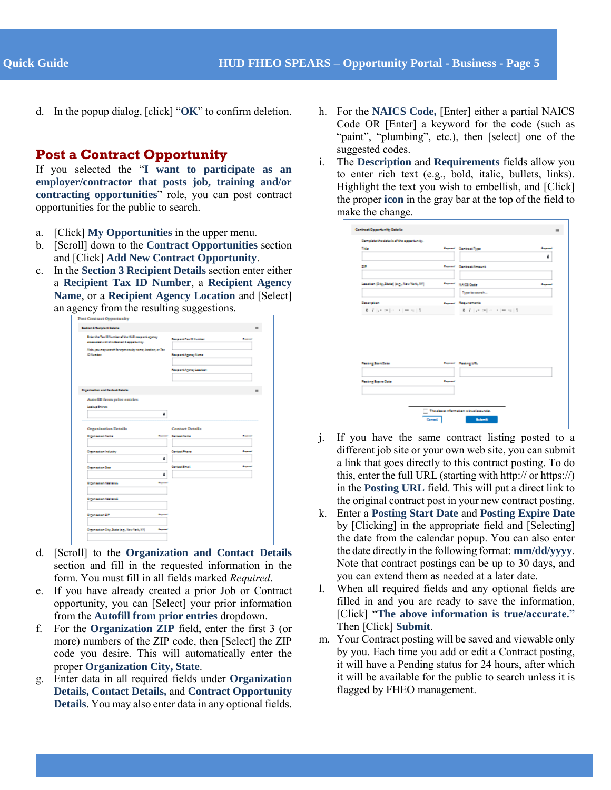d. In the popup dialog, [click] "**OK**" to confirm deletion.

#### **Post a Contract Opportunity**

If you selected the "**I want to participate as an employer/contractor that posts job, training and/or contracting opportunities**" role, you can post contract opportunities for the public to search.

- a. [Click] **My Opportunities** in the upper menu.
- b. [Scroll] down to the **Contract Opportunities** section and [Click] **Add New Contract Opportunity**.
- c. In the **Section 3 Recipient Details** section enter either a **Recipient Tax ID Number**, a **Recipient Agency Name**, or a **Recipient Agency Location** and [Select] an agency from the resulting suggestions.

| <b>Sautian I Realplant Datalla</b>                                                                                                                                                |                  |                                                                                                      |  |
|-----------------------------------------------------------------------------------------------------------------------------------------------------------------------------------|------------------|------------------------------------------------------------------------------------------------------|--|
| Brian the Tax 10 Sumber of the NUD responsive prog-<br>essented with the Series Coppertunity.<br>links process passed for agencies by name, involve, an Tax-<br><b>Difference</b> |                  | <b>Responsition Distribution</b><br>استبدا<br><b>Responsi Agency Same</b><br>Research Agency Leaster |  |
| <b>Organisation and Cantast Datalia</b>                                                                                                                                           |                  |                                                                                                      |  |
| Autofill from price entries:<br><b>Lashua Dramas</b>                                                                                                                              | ٠                |                                                                                                      |  |
| Organization Details                                                                                                                                                              |                  | <b>Contact Details</b>                                                                               |  |
| Department Same                                                                                                                                                                   | <b>Bangarant</b> | Carrieral Same                                                                                       |  |
|                                                                                                                                                                                   |                  |                                                                                                      |  |
| Digensation Industry                                                                                                                                                              | ۵                | Cartast Prane<br>سيد                                                                                 |  |
| <b>Department Star</b>                                                                                                                                                            |                  | Carticul Email<br><b>Bangalo</b>                                                                     |  |
| Department an Address L.                                                                                                                                                          | <b>Beyond</b>    |                                                                                                      |  |
| Digensation Nations E                                                                                                                                                             |                  |                                                                                                      |  |
| Department on DP                                                                                                                                                                  | <b>Buyers</b>    |                                                                                                      |  |

- d. [Scroll] to the **Organization and Contact Details** section and fill in the requested information in the form. You must fill in all fields marked *Required*.
- e. If you have already created a prior Job or Contract opportunity, you can [Select] your prior information from the **Autofill from prior entries** dropdown.
- f. For the **Organization ZIP** field, enter the first 3 (or more) numbers of the ZIP code, then [Select] the ZIP code you desire. This will automatically enter the proper **Organization City, State**.
- g. Enter data in all required fields under **Organization Details, Contact Details,** and **Contract Opportunity Details**. You may also enter data in any optional fields.
- h. For the **NAICS Code,** [Enter] either a partial NAICS Code OR [Enter] a keyword for the code (such as "paint", "plumbing", etc.), then [select] one of the suggested codes.
- i. The **Description** and **Requirements** fields allow you to enter rich text (e.g., bold, italic, bullets, links). Highlight the text you wish to embellish, and [Click] the proper **icon** in the gray bar at the top of the field to make the change.

| <b>Take</b>                               |                | <b>Report Canisasi Type</b>          | <b>Barnett</b> |
|-------------------------------------------|----------------|--------------------------------------|----------------|
|                                           |                |                                      | 4              |
| 28                                        |                | <b>Report Carbookhouses</b>          |                |
| Leasing (Dig. State) (e.g., New York, NY) | <b>Bearing</b> | <b>RAIDI Caste</b>                   | <b>Barnett</b> |
|                                           |                | Toyota in secretion                  |                |
| <b>Desarration</b>                        |                | <b>Symon Reportering</b>             |                |
| 机平均电阻 计中间性 经损失                            |                | 8. 7. Let us [ c ] = 1 [ m = 1] [ 7] |                |
|                                           |                |                                      |                |
|                                           |                |                                      |                |
| <b>Passing Start Case</b>                 |                | <b>Report Fishing LTL</b>            |                |
| <b>Fusing Score Date</b>                  | <b>Baymed</b>  |                                      |                |
|                                           |                |                                      |                |

- j. If you have the same contract listing posted to a different job site or your own web site, you can submit a link that goes directly to this contract posting. To do this, enter the full URL (starting with http:// or https://) in the **Posting URL** field. This will put a direct link to the original contract post in your new contract posting.
- k. Enter a **Posting Start Date** and **Posting Expire Date** by [Clicking] in the appropriate field and [Selecting] the date from the calendar popup. You can also enter the date directly in the following format: **mm/dd/yyyy**. Note that contract postings can be up to 30 days, and you can extend them as needed at a later date.
- l. When all required fields and any optional fields are filled in and you are ready to save the information, [Click] "**The above information is true/accurate."** Then [Click] **Submit**.
- m. Your Contract posting will be saved and viewable only by you. Each time you add or edit a Contract posting, it will have a Pending status for 24 hours, after which it will be available for the public to search unless it is flagged by FHEO management.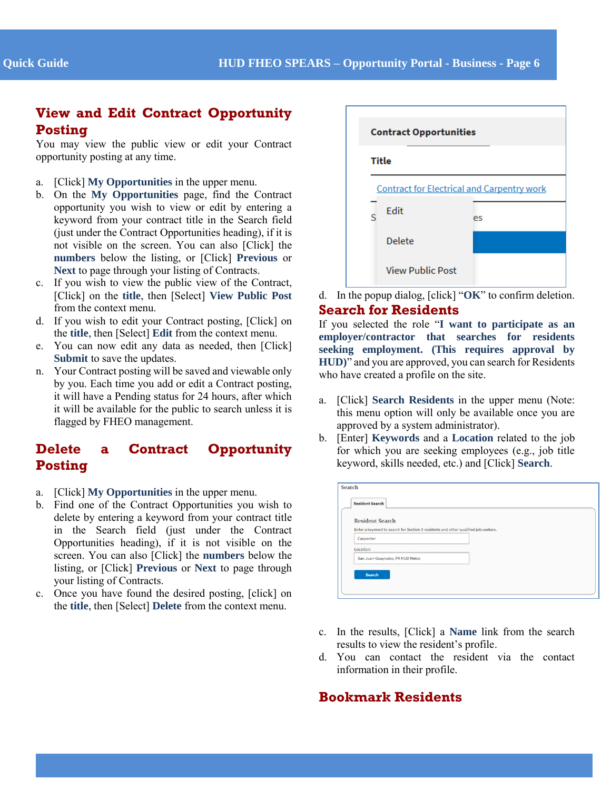## **View and Edit Contract Opportunity Posting**

You may view the public view or edit your Contract opportunity posting at any time.

- a. [Click] **My Opportunities** in the upper menu.
- b. On the **My Opportunities** page, find the Contract opportunity you wish to view or edit by entering a keyword from your contract title in the Search field (just under the Contract Opportunities heading), if it is not visible on the screen. You can also [Click] the **numbers** below the listing, or [Click] **Previous** or **Next** to page through your listing of Contracts.
- c. If you wish to view the public view of the Contract, [Click] on the **title**, then [Select] **View Public Post** from the context menu.
- d. If you wish to edit your Contract posting, [Click] on the **title**, then [Select] **Edit** from the context menu.
- e. You can now edit any data as needed, then [Click] **Submit** to save the updates.
- n. Your Contract posting will be saved and viewable only by you. Each time you add or edit a Contract posting, it will have a Pending status for 24 hours, after which it will be available for the public to search unless it is flagged by FHEO management.

# **Delete a Contract Opportunity Posting**

- a. [Click] **My Opportunities** in the upper menu.
- b. Find one of the Contract Opportunities you wish to delete by entering a keyword from your contract title in the Search field (just under the Contract Opportunities heading), if it is not visible on the screen. You can also [Click] the **numbers** below the listing, or [Click] **Previous** or **Next** to page through your listing of Contracts.
- c. Once you have found the desired posting, [click] on the **title**, then [Select] **Delete** from the context menu.



d. In the popup dialog, [click] "**OK**" to confirm deletion. **Search for Residents**

If you selected the role "**I want to participate as an employer/contractor that searches for residents seeking employment. (This requires approval by HUD)**" and you are approved, you can search for Residents who have created a profile on the site.

- a. [Click] **Search Residents** in the upper menu (Note: this menu option will only be available once you are approved by a system administrator).
- b. [Enter] **Keywords** and a **Location** related to the job for which you are seeking employees (e.g., job title keyword, skills needed, etc.) and [Click] **Search**.

| <b>Resident Search</b> |                                                                                    |  |
|------------------------|------------------------------------------------------------------------------------|--|
|                        | Enter a keyword to search for Section 3 residents and other qualified job seekers. |  |
| Carpenter              |                                                                                    |  |
| Location:              |                                                                                    |  |
|                        | San Juan-Guaynabo, PR HUD Metro                                                    |  |

- c. In the results, [Click] a **Name** link from the search results to view the resident's profile.
- d. You can contact the resident via the contact information in their profile.

# **Bookmark Residents**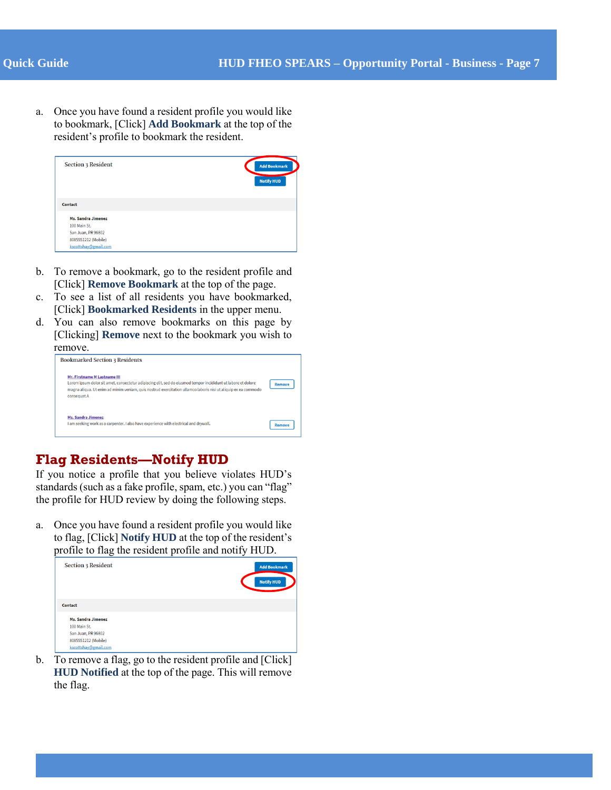a. Once you have found a resident profile you would like to bookmark, [Click] **Add Bookmark** at the top of the resident's profile to bookmark the resident.

| <b>Section 3 Resident</b> | <b>Add Bookmark</b><br><b>Notify HUD</b> |
|---------------------------|------------------------------------------|
| Contact                   |                                          |
| <b>Ms. Sandra Jimenez</b> |                                          |
| 100 Main St.              |                                          |
| San Juan, PR 96802        |                                          |
| 8085551212 (Mobile)       |                                          |
| kscottshav@gmail.com      |                                          |

- b. To remove a bookmark, go to the resident profile and [Click] **Remove Bookmark** at the top of the page.
- c. To see a list of all residents you have bookmarked, [Click] **Bookmarked Residents** in the upper menu.
- d. You can also remove bookmarks on this page by [Clicking] **Remove** next to the bookmark you wish to remove.

| <b>Bookmarked Section 3 Residents</b>                                                                                                                                                                                                                                          |               |
|--------------------------------------------------------------------------------------------------------------------------------------------------------------------------------------------------------------------------------------------------------------------------------|---------------|
| Mr. Firstname M Lastname III<br>Lorem ipsum dolor sit amet, consectetur adipiscing elit, sed do eiusmod tempor incididunt ut labore et dolore<br>magna aliqua. Ut enim ad minim veniam, quis nostrud exercitation ullamco laboris nisi ut aliquip ex ea commodo<br>consequat.A | <b>Remove</b> |
| <b>Ms. Sandra Jimenez</b><br>I am seeking work as a carpenter. I also have experience with electrical and drywall.                                                                                                                                                             | <b>Remove</b> |

# **Flag Residents—Notify HUD**

If you notice a profile that you believe violates HUD's standards (such as a fake profile, spam, etc.) you can "flag" the profile for HUD review by doing the following steps.

a. Once you have found a resident profile you would like to flag, [Click] **Notify HUD** at the top of the resident's profile to flag the resident profile and notify HUD.

| <b>Section 3 Resident</b> | <b>Add Bookmark</b><br><b>Notify HUD</b> |
|---------------------------|------------------------------------------|
| Contact                   |                                          |
| <b>Ms. Sandra Jimenez</b> |                                          |
| 100 Main St.              |                                          |
| San Juan, PR 96802        |                                          |
| 8085551212 (Mobile)       |                                          |
| kscottshav@gmail.com      |                                          |

b. To remove a flag, go to the resident profile and [Click] **HUD Notified** at the top of the page. This will remove the flag.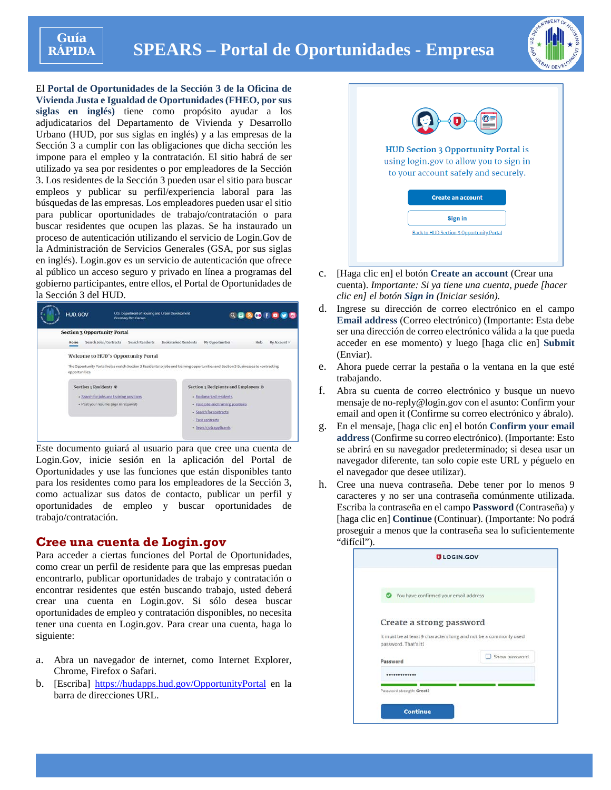

# **SPEARS – Portal de Oportunidades - Empresa**



El **Portal de Oportunidades de la Sección 3 de la Oficina de Vivienda Justa e Igualdad de Oportunidades (FHEO, por sus siglas en inglés)** tiene como propósito ayudar a los adjudicatarios del Departamento de Vivienda y Desarrollo Urbano (HUD, por sus siglas en inglés) y a las empresas de la Sección 3 a cumplir con las obligaciones que dicha sección les impone para el empleo y la contratación. El sitio habrá de ser utilizado ya sea por residentes o por empleadores de la Sección 3. Los residentes de la Sección 3 pueden usar el sitio para buscar empleos y publicar su perfil/experiencia laboral para las búsquedas de las empresas. Los empleadores pueden usar el sitio para publicar oportunidades de trabajo/contratación o para buscar residentes que ocupen las plazas. Se ha instaurado un proceso de autenticación utilizando el servicio de Login.Gov de la Administración de Servicios Generales (GSA, por sus siglas en inglés). Login.gov es un servicio de autenticación que ofrece al público un acceso seguro y privado en línea a programas del gobierno participantes, entre ellos, el Portal de Oportunidades de la Sección 3 del HUD.



Este documento guiará al usuario para que cree una cuenta de Login.Gov, inicie sesión en la aplicación del Portal de Oportunidades y use las funciones que están disponibles tanto para los residentes como para los empleadores de la Sección 3, como actualizar sus datos de contacto, publicar un perfil y oportunidades de empleo y buscar oportunidades de trabajo/contratación.

#### **Cree una cuenta de Login.gov**

Para acceder a ciertas funciones del Portal de Oportunidades, como crear un perfil de residente para que las empresas puedan encontrarlo, publicar oportunidades de trabajo y contratación o encontrar residentes que estén buscando trabajo, usted deberá crear una cuenta en Login.gov. Si sólo desea buscar oportunidades de empleo y contratación disponibles, no necesita tener una cuenta en Login.gov. Para crear una cuenta, haga lo siguiente:

- a. Abra un navegador de internet, como Internet Explorer, Chrome, Firefox o Safari.
- b. [Escriba]<https://hudapps.hud.gov/OpportunityPortal> en la barra de direcciones URL.



- c. [Haga clic en] el botón **Create an account** (Crear una cuenta). *Importante: Si ya tiene una cuenta, puede [hacer clic en] el botón Sign in (Iniciar sesión).*
- d. Ingrese su dirección de correo electrónico en el campo **Email address** (Correo electrónico) (Importante: Esta debe ser una dirección de correo electrónico válida a la que pueda acceder en ese momento) y luego [haga clic en] **Submit** (Enviar).
- e. Ahora puede cerrar la pestaña o la ventana en la que esté trabajando.
- f. Abra su cuenta de correo electrónico y busque un nuevo mensaje de no-reply@login.gov con el asunto: Confirm your email and open it (Confirme su correo electrónico y ábralo).
- g. En el mensaje, [haga clic en] el botón **Confirm your email address**(Confirme su correo electrónico). (Importante: Esto se abrirá en su navegador predeterminado; si desea usar un navegador diferente, tan solo copie este URL y péguelo en el navegador que desee utilizar).
- h. Cree una nueva contraseña. Debe tener por lo menos 9 caracteres y no ser una contraseña comúnmente utilizada. Escriba la contraseña en el campo **Password** (Contraseña) y [haga clic en] **Continue** (Continuar). (Importante: No podrá proseguir a menos que la contraseña sea lo suficientemente "difícil").

|                                       | <b>ULOGIN.GOV</b>                                                |
|---------------------------------------|------------------------------------------------------------------|
| You have confirmed your email address |                                                                  |
| Create a strong password              | It must be at least 9 characters long and not be a commonly used |
| password. That's it!<br>Password      | Show password                                                    |
|                                       |                                                                  |
| Password strength: Great!             |                                                                  |
|                                       |                                                                  |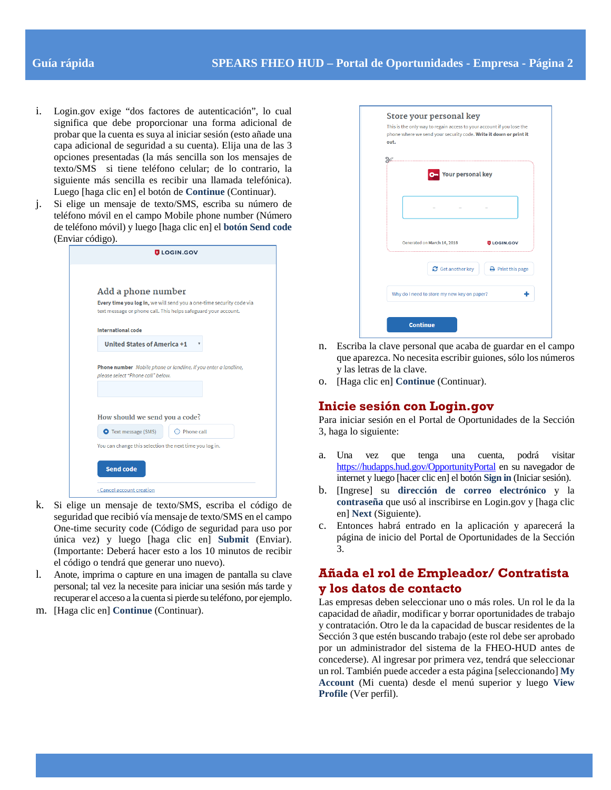- i. Login.gov exige "dos factores de autenticación", lo cual significa que debe proporcionar una forma adicional de probar que la cuenta es suya al iniciar sesión (esto añade una capa adicional de seguridad a su cuenta). Elija una de las 3 opciones presentadas (la más sencilla son los mensajes de texto/SMS si tiene teléfono celular; de lo contrario, la siguiente más sencilla es recibir una llamada telefónica). Luego [haga clic en] el botón de **Continue** (Continuar).
- j. Si elige un mensaje de texto/SMS, escriba su número de teléfono móvil en el campo Mobile phone number (Número de teléfono móvil) y luego [haga clic en] el **botón Send code**  (Enviar código).

| Add a phone number<br>Every time you log in, we will send you a one-time security code via<br>text message or phone call. This helps safeguard your account.<br><b>International code</b><br><b>United States of America +1</b><br>Phone number Mobile phone or landline. If you enter a landline,<br>please select "Phone call" below.<br>How should we send you a code?<br><b>O</b> Text message (SMS)<br>Phone call<br>You can change this selection the next time you log in.<br><b>Send code</b><br>« Cancel account creation | <b>ULOGIN.GOV</b> |
|------------------------------------------------------------------------------------------------------------------------------------------------------------------------------------------------------------------------------------------------------------------------------------------------------------------------------------------------------------------------------------------------------------------------------------------------------------------------------------------------------------------------------------|-------------------|
|                                                                                                                                                                                                                                                                                                                                                                                                                                                                                                                                    |                   |
|                                                                                                                                                                                                                                                                                                                                                                                                                                                                                                                                    |                   |
|                                                                                                                                                                                                                                                                                                                                                                                                                                                                                                                                    |                   |
|                                                                                                                                                                                                                                                                                                                                                                                                                                                                                                                                    |                   |
|                                                                                                                                                                                                                                                                                                                                                                                                                                                                                                                                    |                   |
|                                                                                                                                                                                                                                                                                                                                                                                                                                                                                                                                    |                   |
|                                                                                                                                                                                                                                                                                                                                                                                                                                                                                                                                    |                   |
|                                                                                                                                                                                                                                                                                                                                                                                                                                                                                                                                    |                   |
|                                                                                                                                                                                                                                                                                                                                                                                                                                                                                                                                    |                   |
|                                                                                                                                                                                                                                                                                                                                                                                                                                                                                                                                    |                   |
|                                                                                                                                                                                                                                                                                                                                                                                                                                                                                                                                    |                   |
|                                                                                                                                                                                                                                                                                                                                                                                                                                                                                                                                    |                   |
|                                                                                                                                                                                                                                                                                                                                                                                                                                                                                                                                    |                   |
|                                                                                                                                                                                                                                                                                                                                                                                                                                                                                                                                    |                   |
|                                                                                                                                                                                                                                                                                                                                                                                                                                                                                                                                    |                   |
|                                                                                                                                                                                                                                                                                                                                                                                                                                                                                                                                    |                   |
|                                                                                                                                                                                                                                                                                                                                                                                                                                                                                                                                    |                   |
|                                                                                                                                                                                                                                                                                                                                                                                                                                                                                                                                    |                   |
|                                                                                                                                                                                                                                                                                                                                                                                                                                                                                                                                    |                   |
|                                                                                                                                                                                                                                                                                                                                                                                                                                                                                                                                    |                   |

- k. Si elige un mensaje de texto/SMS, escriba el código de seguridad que recibió vía mensaje de texto/SMS en el campo One-time security code (Código de seguridad para uso por única vez) y luego [haga clic en] **Submit** (Enviar). (Importante: Deberá hacer esto a los 10 minutos de recibir el código o tendrá que generar uno nuevo).
- l. Anote, imprima o capture en una imagen de pantalla su clave personal; tal vez la necesite para iniciar una sesión más tarde y recuperar el acceso a la cuenta si pierde su teléfono, por ejemplo.
- m. [Haga clic en] **Continue** (Continuar).

| .                                           |                          |
|---------------------------------------------|--------------------------|
| Your personal key                           |                          |
|                                             |                          |
|                                             |                          |
| Generated on March 14, 2018                 | <b>ULOGIN.GOV</b>        |
|                                             |                          |
| $\mathbf C$ Get another key                 | <b>A</b> Print this page |
| Why do I need to store my new key on paper? |                          |

- n. Escriba la clave personal que acaba de guardar en el campo que aparezca. No necesita escribir guiones, sólo los números y las letras de la clave.
- o. [Haga clic en] **Continue** (Continuar).

#### **Inicie sesión con Login.gov**

Para iniciar sesión en el Portal de Oportunidades de la Sección 3, haga lo siguiente:

- a. Una vez que tenga una cuenta, podrá visitar <https://hudapps.hud.gov/OpportunityPortal> en su navegador de internet y luego [hacer clic en] el botón **Sign in** (Iniciar sesión).
- b. [Ingrese] su **dirección de correo electrónico** y la **contraseña** que usó al inscribirse en Login.gov y [haga clic en] **Next** (Siguiente).
- c. Entonces habrá entrado en la aplicación y aparecerá la página de inicio del Portal de Oportunidades de la Sección 3.

### **Añada el rol de Empleador/ Contratista y los datos de contacto**

Las empresas deben seleccionar uno o más roles. Un rol le da la capacidad de añadir, modificar y borrar oportunidades de trabajo y contratación. Otro le da la capacidad de buscar residentes de la Sección 3 que estén buscando trabajo (este rol debe ser aprobado por un administrador del sistema de la FHEO-HUD antes de concederse). Al ingresar por primera vez, tendrá que seleccionar un rol. También puede acceder a esta página [seleccionando] **My Account** (Mi cuenta) desde el menú superior y luego **View Profile** (Ver perfil).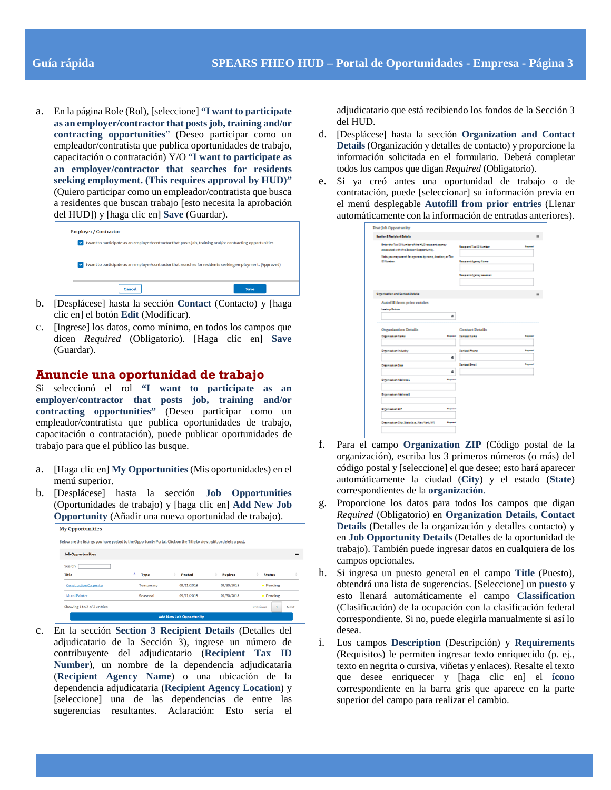a. En la página Role (Rol), [seleccione] **"I want to participate as an employer/contractor that posts job, training and/or contracting opportunities**" (Deseo participar como un empleador/contratista que publica oportunidades de trabajo, capacitación o contratación) Y/O "**I want to participate as an employer/contractor that searches for residents seeking employment. (This requires approval by HUD)"** (Quiero participar como un empleador/contratista que busca a residentes que buscan trabajo [esto necesita la aprobación del HUD]) y [haga clic en] **Save** (Guardar).

| <b>Employer / Contractor</b>                                                                               |      |
|------------------------------------------------------------------------------------------------------------|------|
| I want to participate as an employer/contractor that posts job, training and/or contracting opportunities  |      |
| I want to participate as an employer/contractor that searches for residents seeking employment. (Approved) |      |
| Cancel                                                                                                     | Save |

- b. [Desplácese] hasta la sección **Contact** (Contacto) y [haga clic en] el botón **Edit** (Modificar).
- c. [Ingrese] los datos, como mínimo, en todos los campos que dicen *Required* (Obligatorio). [Haga clic en] **Save** (Guardar).

#### **Anuncie una oportunidad de trabajo**

Si seleccionó el rol **"I want to participate as an employer/contractor that posts job, training and/or contracting opportunities"** (Deseo participar como un empleador/contratista que publica oportunidades de trabajo, capacitación o contratación), puede publicar oportunidades de trabajo para que el público las busque.

- a. [Haga clic en] **My Opportunities** (Mis oportunidades) en el menú superior.
- b. [Desplácese] hasta la sección **Job Opportunities** (Oportunidades de trabajo) y [haga clic en] **Add New Job Opportunity** (Añadir una nueva oportunidad de trabajo).

| <b>Job Opportunities</b>      |           |            |                |                    |   |
|-------------------------------|-----------|------------|----------------|--------------------|---|
| Search:                       |           |            |                |                    |   |
| Title                         | ۰<br>Type | Posted     | <b>Expires</b> | <b>Status</b><br>٠ | ٠ |
| <b>Construction Carpenter</b> | Temporary | 09/11/2018 | 09/30/2018     | Pending<br>٠       |   |
| <b>Mural Painter</b>          | Seasonal  | 09/11/2018 | 09/30/2018     | · Pending          |   |

c. En la sección **Section 3 Recipient Details** (Detalles del adjudicatario de la Sección 3), ingrese un número de contribuyente del adjudicatario (**Recipient Tax ID Number**), un nombre de la dependencia adjudicataria (**Recipient Agency Name**) o una ubicación de la dependencia adjudicataria (**Recipient Agency Location**) y [seleccione] una de las dependencias de entre las sugerencias resultantes. Aclaración: Esto sería el

adjudicatario que está recibiendo los fondos de la Sección 3 del HUD.

- d. [Desplácese] hasta la sección **Organization and Contact Details** (Organización y detalles de contacto) y proporcione la información solicitada en el formulario. Deberá completar todos los campos que digan *Required* (Obligatorio).
- e. Si ya creó antes una oportunidad de trabajo o de contratación, puede [seleccionar] su información previa en el menú desplegable **Autofill from prior entries** (Llenar automáticamente con la información de entradas anteriores).

| <b>Seatter &amp; Realplant Datella</b>                                                                                                                                      |                                                                                          |                               |
|-----------------------------------------------------------------------------------------------------------------------------------------------------------------------------|------------------------------------------------------------------------------------------|-------------------------------|
| Brian the Tax 10 Sumber of the NUS respective prog-<br>essented with the Series Coppertunity.<br>link porney aren't foregoness by none, institute of the<br><b>Citizens</b> | <b>ResearchTex Diffurtier</b><br><b>Read anti-teams: Name</b><br>Research Agency Leaster | -                             |
| <b>Organisation and Centest Datalia</b>                                                                                                                                     |                                                                                          |                               |
| <b>Lesling Drives</b><br><b>Organization Details</b>                                                                                                                        | ٠<br><b>Contact Details</b>                                                              |                               |
| Digensation Same                                                                                                                                                            | <b>Research Cantast Rams</b>                                                             | <b><i><u>Property</u></i></b> |
| Dreamsation Industry                                                                                                                                                        | Canada Phane<br>۵                                                                        | <b>Bayers</b>                 |
| <b>Digensation Sea</b>                                                                                                                                                      | <b>Carried Email</b><br>۵                                                                | <b>Bank and</b>               |
| Depression Military L                                                                                                                                                       | <b>Reported</b>                                                                          |                               |
| Digmaatan Address D                                                                                                                                                         |                                                                                          |                               |
| Department on DP                                                                                                                                                            | <b>Beyond</b>                                                                            |                               |
|                                                                                                                                                                             |                                                                                          |                               |

- f. Para el campo **Organization ZIP** (Código postal de la organización), escriba los 3 primeros números (o más) del código postal y [seleccione] el que desee; esto hará aparecer automáticamente la ciudad (**City**) y el estado (**State**) correspondientes de la **organización**.
- g. Proporcione los datos para todos los campos que digan *Required* (Obligatorio) en **Organization Details, Contact Details** (Detalles de la organización y detalles contacto) y en **Job Opportunity Details** (Detalles de la oportunidad de trabajo). También puede ingresar datos en cualquiera de los campos opcionales.
- h. Si ingresa un puesto general en el campo **Title** (Puesto), obtendrá una lista de sugerencias. [Seleccione] un **puesto** y esto llenará automáticamente el campo **Classification** (Clasificación) de la ocupación con la clasificación federal correspondiente. Si no, puede elegirla manualmente si así lo desea.
- i. Los campos **Description** (Descripción) y **Requirements** (Requisitos) le permiten ingresar texto enriquecido (p. ej., texto en negrita o cursiva, viñetas y enlaces). Resalte el texto que desee enriquecer y [haga clic en] el **ícono**  correspondiente en la barra gris que aparece en la parte superior del campo para realizar el cambio.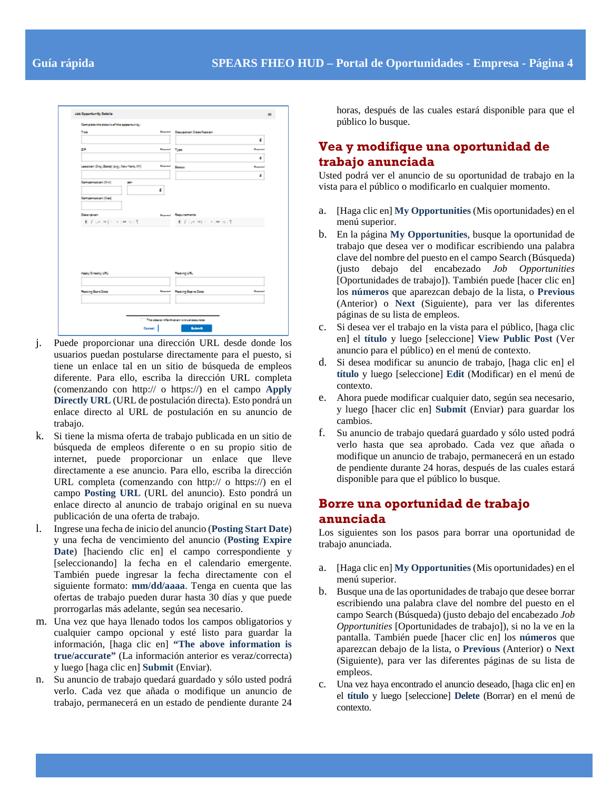| <b>Take</b>                               |                      | <b>Report Cassader Cassilation</b>  |                       |
|-------------------------------------------|----------------------|-------------------------------------|-----------------------|
|                                           |                      |                                     | ٠                     |
| 28                                        | <b>Property Type</b> |                                     | <b>Book Corporate</b> |
|                                           |                      |                                     | ٠                     |
| Leaster (Dig. Bate) (e.g., New York, 201) | <b>Beyond</b>        | <b>Inster</b>                       | <b>Barnet</b>         |
|                                           |                      |                                     | ٠                     |
| Compensation [Min]<br>m                   |                      |                                     |                       |
|                                           | 4                    |                                     |                       |
| Compensation (Mai)                        |                      |                                     |                       |
|                                           |                      |                                     |                       |
| <b>Cosangham</b>                          |                      | <b>Report Resumerts</b>             |                       |
| 机子 机电动机 计电动机系统                            |                      | 8. 7. Let us [ c ] = 1 [ m = u ] 5. |                       |
|                                           |                      |                                     |                       |
|                                           |                      |                                     |                       |
|                                           |                      |                                     |                       |
|                                           |                      |                                     |                       |
| Apply Dreamy UNL                          |                      | Pasking Life.                       |                       |
|                                           |                      |                                     |                       |
|                                           |                      | <b>Provided Parking Septembers</b>  | <b>Barnett</b>        |
| <b>Pasting Start Date</b>                 |                      |                                     |                       |

- j. Puede proporcionar una dirección URL desde donde los usuarios puedan postularse directamente para el puesto, si tiene un enlace tal en un sitio de búsqueda de empleos diferente. Para ello, escriba la dirección URL completa (comenzando con http:// o https://) en el campo **Apply Directly URL** (URL de postulación directa). Esto pondrá un enlace directo al URL de postulación en su anuncio de trabajo.
- k. Si tiene la misma oferta de trabajo publicada en un sitio de búsqueda de empleos diferente o en su propio sitio de internet, puede proporcionar un enlace que lleve directamente a ese anuncio. Para ello, escriba la dirección URL completa (comenzando con http:// o https://) en el campo **Posting URL** (URL del anuncio). Esto pondrá un enlace directo al anuncio de trabajo original en su nueva publicación de una oferta de trabajo.
- l. Ingrese una fecha de inicio del anuncio (**Posting Start Date**) y una fecha de vencimiento del anuncio (**Posting Expire Date**) [haciendo clic en] el campo correspondiente y [seleccionando] la fecha en el calendario emergente. También puede ingresar la fecha directamente con el siguiente formato: **mm/dd/aaaa**. Tenga en cuenta que las ofertas de trabajo pueden durar hasta 30 días y que puede prorrogarlas más adelante, según sea necesario.
- m. Una vez que haya llenado todos los campos obligatorios y cualquier campo opcional y esté listo para guardar la información, [haga clic en] **"The above information is true/accurate"** (La información anterior es veraz/correcta) y luego [haga clic en] **Submit** (Enviar).
- n. Su anuncio de trabajo quedará guardado y sólo usted podrá verlo. Cada vez que añada o modifique un anuncio de trabajo, permanecerá en un estado de pendiente durante 24

horas, después de las cuales estará disponible para que el público lo busque.

## **Vea y modifique una oportunidad de trabajo anunciada**

Usted podrá ver el anuncio de su oportunidad de trabajo en la vista para el público o modificarlo en cualquier momento.

- a. [Haga clic en] **My Opportunities** (Mis oportunidades) en el menú superior.
- b. En la página **My Opportunities**, busque la oportunidad de trabajo que desea ver o modificar escribiendo una palabra clave del nombre del puesto en el campo Search (Búsqueda) (justo debajo del encabezado *Job Opportunities* [Oportunidades de trabajo]). También puede [hacer clic en] los **números** que aparezcan debajo de la lista, o **Previous** (Anterior) o **Next** (Siguiente), para ver las diferentes páginas de su lista de empleos.
- c. Si desea ver el trabajo en la vista para el público, [haga clic en] el **título** y luego [seleccione] **View Public Post** (Ver anuncio para el público) en el menú de contexto.
- d. Si desea modificar su anuncio de trabajo, [haga clic en] el **título** y luego [seleccione] **Edit** (Modificar) en el menú de contexto.
- e. Ahora puede modificar cualquier dato, según sea necesario, y luego [hacer clic en] **Submit** (Enviar) para guardar los cambios.
- f. Su anuncio de trabajo quedará guardado y sólo usted podrá verlo hasta que sea aprobado. Cada vez que añada o modifique un anuncio de trabajo, permanecerá en un estado de pendiente durante 24 horas, después de las cuales estará disponible para que el público lo busque.

#### **Borre una oportunidad de trabajo anunciada**

Los siguientes son los pasos para borrar una oportunidad de trabajo anunciada.

- a. [Haga clic en] **My Opportunities** (Mis oportunidades) en el menú superior.
- b. Busque una de las oportunidades de trabajo que desee borrar escribiendo una palabra clave del nombre del puesto en el campo Search (Búsqueda) (justo debajo del encabezado *Job Opportunities* [Oportunidades de trabajo]), si no la ve en la pantalla. También puede [hacer clic en] los **números** que aparezcan debajo de la lista, o **Previous** (Anterior) o **Next** (Siguiente), para ver las diferentes páginas de su lista de empleos.
- c. Una vez haya encontrado el anuncio deseado, [haga clic en] en el **título** y luego [seleccione] **Delete** (Borrar) en el menú de contexto.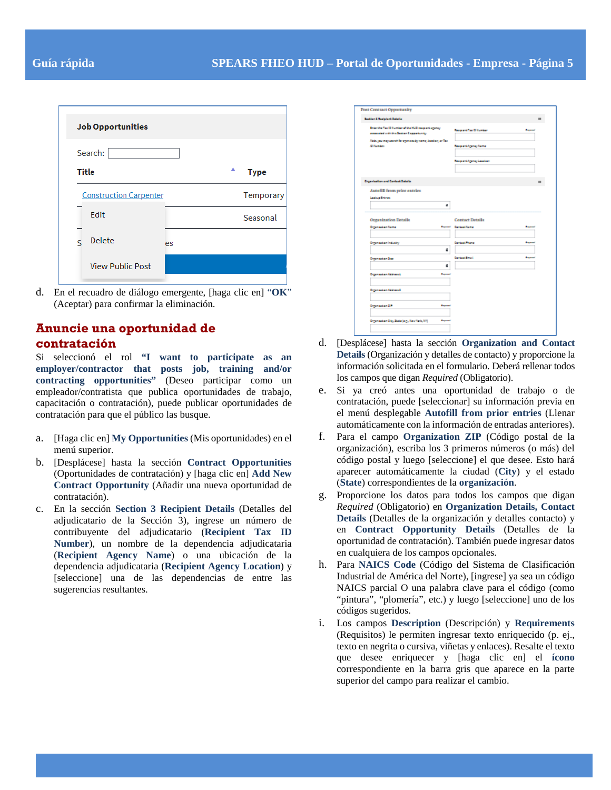| <b>Job Opportunities</b>      |                  |
|-------------------------------|------------------|
| Search:                       |                  |
| <b>Title</b>                  | ▲<br><b>Type</b> |
| <b>Construction Carpenter</b> | Temporary        |
| Edit                          | Seasonal         |
| <b>Delete</b><br>ς<br>es      |                  |
| <b>View Public Post</b>       |                  |

d. En el recuadro de diálogo emergente, [haga clic en] "**OK**" (Aceptar) para confirmar la eliminación.

#### **Anuncie una oportunidad de contratación**

Si seleccionó el rol **"I want to participate as an employer/contractor that posts job, training and/or contracting opportunities"** (Deseo participar como un empleador/contratista que publica oportunidades de trabajo, capacitación o contratación), puede publicar oportunidades de contratación para que el público las busque.

- a. [Haga clic en] **My Opportunities** (Mis oportunidades) en el menú superior.
- b. [Desplácese] hasta la sección **Contract Opportunities** (Oportunidades de contratación) y [haga clic en] **Add New Contract Opportunity** (Añadir una nueva oportunidad de contratación).
- c. En la sección **Section 3 Recipient Details** (Detalles del adjudicatario de la Sección 3), ingrese un número de contribuyente del adjudicatario (**Recipient Tax ID Number**), un nombre de la dependencia adjudicataria (**Recipient Agency Name**) o una ubicación de la dependencia adjudicataria (**Recipient Agency Location**) y [seleccione] una de las dependencias de entre las sugerencias resultantes.

| <b>Seatter &amp; Realplant Datella</b>                                                    |                     |                               |                |  |
|-------------------------------------------------------------------------------------------|---------------------|-------------------------------|----------------|--|
| Interior Tax Diffusion after HUS responsing may<br>essented with the Series Corportunity. |                     | <b>Responsition Diffusion</b> | <b>Barnett</b> |  |
| links process passed for agencies by name, institute, or Tax-<br><b>Difference</b>        |                     | <b>Responsi Agency Same</b>   |                |  |
|                                                                                           |                     | <b>Reaganshipping Leaders</b> |                |  |
|                                                                                           |                     |                               |                |  |
| <b>Organisation and Central Datalia</b>                                                   |                     |                               |                |  |
| Autofill from prior entries.                                                              |                     |                               |                |  |
| <b>Lesling Driver</b>                                                                     | ٠                   |                               |                |  |
| Organization Details                                                                      |                     | <b>Contact Details</b>        |                |  |
|                                                                                           |                     |                               |                |  |
| Department Same                                                                           | <b>Beauman's</b>    | Cartest Serve                 |                |  |
| <b>Depression Infastry</b>                                                                |                     | <b>Cartage Praze</b>          |                |  |
|                                                                                           | ۵                   |                               |                |  |
| Digensation Sea                                                                           |                     | Carticul Drugs                | سيدة           |  |
| Department an Address L.                                                                  | ۵<br><b>Beaumai</b> |                               |                |  |
|                                                                                           |                     |                               |                |  |
| Depression National                                                                       |                     |                               |                |  |
| Department on DP                                                                          | <b>Buyerman</b>     |                               |                |  |

- d. [Desplácese] hasta la sección **Organization and Contact Details** (Organización y detalles de contacto) y proporcione la información solicitada en el formulario. Deberá rellenar todos los campos que digan *Required* (Obligatorio).
- e. Si ya creó antes una oportunidad de trabajo o de contratación, puede [seleccionar] su información previa en el menú desplegable **Autofill from prior entries** (Llenar automáticamente con la información de entradas anteriores).
- f. Para el campo **Organization ZIP** (Código postal de la organización), escriba los 3 primeros números (o más) del código postal y luego [seleccione] el que desee. Esto hará aparecer automáticamente la ciudad (**City**) y el estado (**State**) correspondientes de la **organización**.
- g. Proporcione los datos para todos los campos que digan *Required* (Obligatorio) en **Organization Details, Contact Details** (Detalles de la organización y detalles contacto) y en **Contract Opportunity Details** (Detalles de la oportunidad de contratación). También puede ingresar datos en cualquiera de los campos opcionales.
- h. Para **NAICS Code** (Código del Sistema de Clasificación Industrial de América del Norte), [ingrese] ya sea un código NAICS parcial O una palabra clave para el código (como "pintura", "plomería", etc.) y luego [seleccione] uno de los códigos sugeridos.
- i. Los campos **Description** (Descripción) y **Requirements** (Requisitos) le permiten ingresar texto enriquecido (p. ej., texto en negrita o cursiva, viñetas y enlaces). Resalte el texto que desee enriquecer y [haga clic en] el **ícono** correspondiente en la barra gris que aparece en la parte superior del campo para realizar el cambio.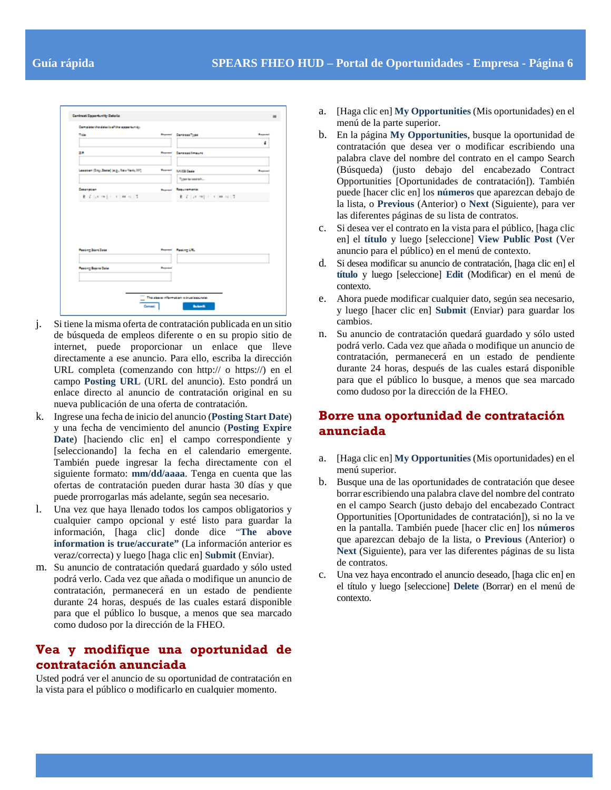| Complete the details of the association.               |                |                                              |                |
|--------------------------------------------------------|----------------|----------------------------------------------|----------------|
| <b>Time</b>                                            |                | <b>Report CariculaType</b>                   | استبدا         |
| 28                                                     |                | <b>Report Carbookhnoors</b>                  | ٠              |
| Leasing (24g, State) Jag, New York, 2013               | <b>Beyond</b>  | <b>RAIDI Center</b>                          | <b>Bangalo</b> |
| <b>Cosanation</b>                                      |                | Type is search<br><b>General Reportments</b> |                |
|                                                        |                |                                              |                |
|                                                        |                |                                              |                |
|                                                        |                |                                              |                |
|                                                        |                | <b>Report Financial</b>                      |                |
| <b>Fasting Start Date</b><br><b>Fasting Bayne Date</b> | <b>Bayment</b> |                                              |                |

- j. Si tiene la misma oferta de contratación publicada en un sitio de búsqueda de empleos diferente o en su propio sitio de internet, puede proporcionar un enlace que lleve directamente a ese anuncio. Para ello, escriba la dirección URL completa (comenzando con http:// o https://) en el campo **Posting URL** (URL del anuncio). Esto pondrá un enlace directo al anuncio de contratación original en su nueva publicación de una oferta de contratación.
- k. Ingrese una fecha de inicio del anuncio (**Posting Start Date**) y una fecha de vencimiento del anuncio (**Posting Expire Date**) [haciendo clic en] el campo correspondiente y [seleccionando] la fecha en el calendario emergente. También puede ingresar la fecha directamente con el siguiente formato: **mm/dd/aaaa**. Tenga en cuenta que las ofertas de contratación pueden durar hasta 30 días y que puede prorrogarlas más adelante, según sea necesario.
- l. Una vez que haya llenado todos los campos obligatorios y cualquier campo opcional y esté listo para guardar la información, [haga clic] donde dice "**The above information is true/accurate"** (La información anterior es veraz/correcta) y luego [haga clic en] **Submit** (Enviar).
- m. Su anuncio de contratación quedará guardado y sólo usted podrá verlo. Cada vez que añada o modifique un anuncio de contratación, permanecerá en un estado de pendiente durante 24 horas, después de las cuales estará disponible para que el público lo busque, a menos que sea marcado como dudoso por la dirección de la FHEO.

### **Vea y modifique una oportunidad de contratación anunciada**

Usted podrá ver el anuncio de su oportunidad de contratación en la vista para el público o modificarlo en cualquier momento.

- a. [Haga clic en] **My Opportunities** (Mis oportunidades) en el menú de la parte superior.
- b. En la página **My Opportunities**, busque la oportunidad de contratación que desea ver o modificar escribiendo una palabra clave del nombre del contrato en el campo Search (Búsqueda) (justo debajo del encabezado Contract Opportunities [Oportunidades de contratación]). También puede [hacer clic en] los **números** que aparezcan debajo de la lista, o **Previous** (Anterior) o **Next** (Siguiente), para ver las diferentes páginas de su lista de contratos.
- c. Si desea ver el contrato en la vista para el público, [haga clic en] el **título** y luego [seleccione] **View Public Post** (Ver anuncio para el público) en el menú de contexto.
- d. Si desea modificar su anuncio de contratación, [haga clic en] el **título** y luego [seleccione] **Edit** (Modificar) en el menú de contexto.
- e. Ahora puede modificar cualquier dato, según sea necesario, y luego [hacer clic en] **Submit** (Enviar) para guardar los cambios.
- n. Su anuncio de contratación quedará guardado y sólo usted podrá verlo. Cada vez que añada o modifique un anuncio de contratación, permanecerá en un estado de pendiente durante 24 horas, después de las cuales estará disponible para que el público lo busque, a menos que sea marcado como dudoso por la dirección de la FHEO.

## **Borre una oportunidad de contratación anunciada**

- a. [Haga clic en] **My Opportunities** (Mis oportunidades) en el menú superior.
- b. Busque una de las oportunidades de contratación que desee borrar escribiendo una palabra clave del nombre del contrato en el campo Search (justo debajo del encabezado Contract Opportunities [Oportunidades de contratación]), si no la ve en la pantalla. También puede [hacer clic en] los **números** que aparezcan debajo de la lista, o **Previous** (Anterior) o **Next** (Siguiente), para ver las diferentes páginas de su lista de contratos.
- c. Una vez haya encontrado el anuncio deseado, [haga clic en] en el título y luego [seleccione] **Delete** (Borrar) en el menú de contexto.